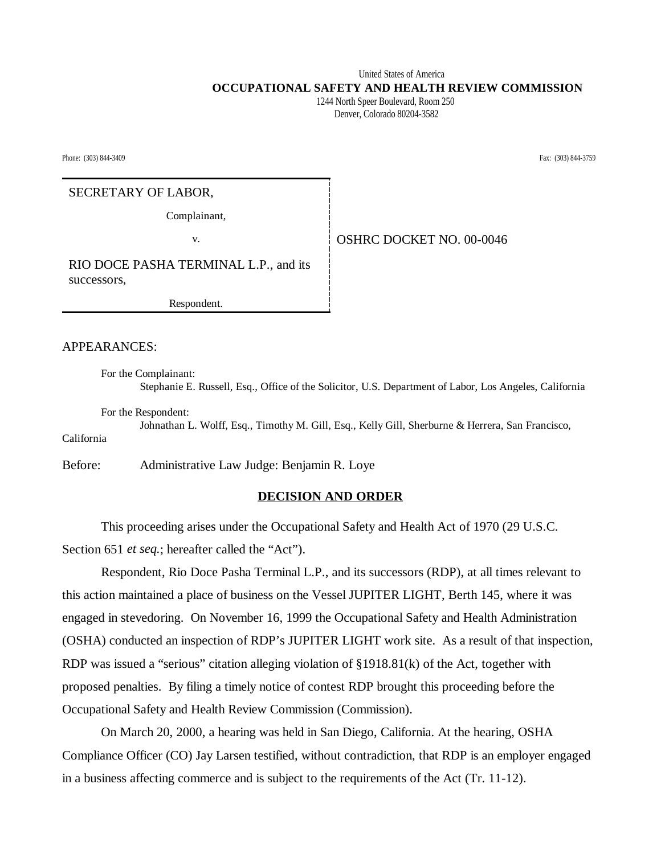United States of America  **OCCUPATIONAL SAFETY AND HEALTH REVIEW COMMISSION** 1244 North Speer Boulevard, Room 250

Denver, Colorado 80204-3582

Phone: (303) 844-3409 Fax: (303) 844-3759

# SECRETARY OF LABOR,

Complainant,

v. Same **COVER COVER SET NO.** 00-0046

RIO DOCE PASHA TERMINAL L.P., and its successors,

Respondent.

APPEARANCES:

For the Complainant: Stephanie E. Russell, Esq., Office of the Solicitor, U.S. Department of Labor, Los Angeles, California

For the Respondent:

Johnathan L. Wolff, Esq., Timothy M. Gill, Esq., Kelly Gill, Sherburne & Herrera, San Francisco, California

Before: Administrative Law Judge: Benjamin R. Loye

### **DECISION AND ORDER**

This proceeding arises under the Occupational Safety and Health Act of 1970 (29 U.S.C. Section 651 *et seq.*; hereafter called the "Act").

Respondent, Rio Doce Pasha Terminal L.P., and its successors (RDP), at all times relevant to this action maintained a place of business on the Vessel JUPITER LIGHT, Berth 145, where it was engaged in stevedoring. On November 16, 1999 the Occupational Safety and Health Administration (OSHA) conducted an inspection of RDP's JUPITER LIGHT work site. As a result of that inspection, RDP was issued a "serious" citation alleging violation of §1918.81(k) of the Act, together with proposed penalties. By filing a timely notice of contest RDP brought this proceeding before the Occupational Safety and Health Review Commission (Commission).

On March 20, 2000, a hearing was held in San Diego, California. At the hearing, OSHA Compliance Officer (CO) Jay Larsen testified, without contradiction, that RDP is an employer engaged in a business affecting commerce and is subject to the requirements of the Act (Tr. 11-12).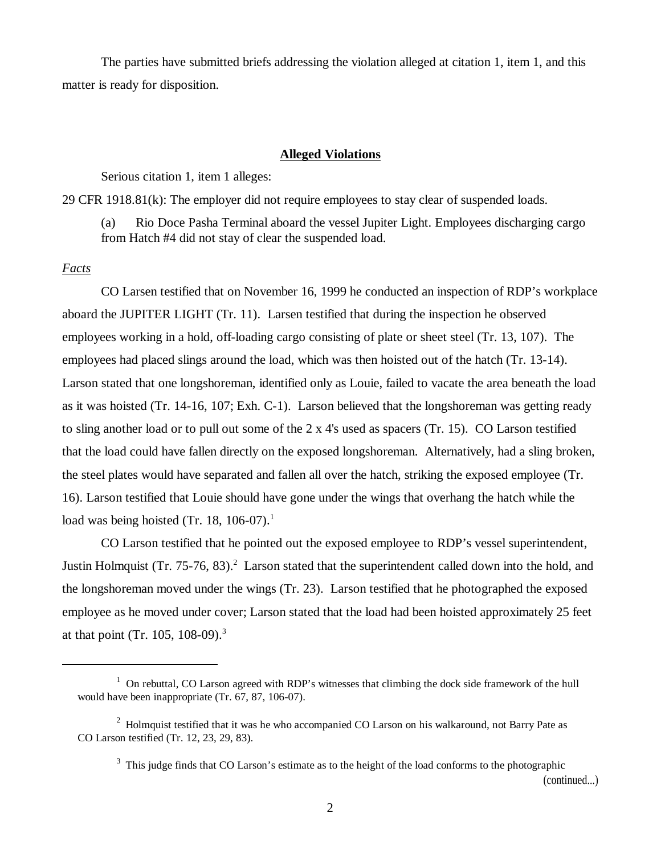The parties have submitted briefs addressing the violation alleged at citation 1, item 1, and this matter is ready for disposition.

#### **Alleged Violations**

Serious citation 1, item 1 alleges:

29 CFR 1918.81(k): The employer did not require employees to stay clear of suspended loads.

(a) Rio Doce Pasha Terminal aboard the vessel Jupiter Light. Employees discharging cargo from Hatch #4 did not stay of clear the suspended load.

# *Facts*

CO Larsen testified that on November 16, 1999 he conducted an inspection of RDP's workplace aboard the JUPITER LIGHT (Tr. 11). Larsen testified that during the inspection he observed employees working in a hold, off-loading cargo consisting of plate or sheet steel (Tr. 13, 107). The employees had placed slings around the load, which was then hoisted out of the hatch (Tr. 13-14). Larson stated that one longshoreman, identified only as Louie, failed to vacate the area beneath the load as it was hoisted (Tr. 14-16, 107; Exh. C-1). Larson believed that the longshoreman was getting ready to sling another load or to pull out some of the 2 x 4's used as spacers (Tr. 15). CO Larson testified that the load could have fallen directly on the exposed longshoreman. Alternatively, had a sling broken, the steel plates would have separated and fallen all over the hatch, striking the exposed employee (Tr. 16). Larson testified that Louie should have gone under the wings that overhang the hatch while the load was being hoisted (Tr. 18, 106-07).<sup>1</sup>

CO Larson testified that he pointed out the exposed employee to RDP's vessel superintendent, Justin Holmquist (Tr. 75-76, 83).<sup>2</sup> Larson stated that the superintendent called down into the hold, and the longshoreman moved under the wings (Tr. 23). Larson testified that he photographed the exposed employee as he moved under cover; Larson stated that the load had been hoisted approximately 25 feet at that point (Tr. 105, 108-09).<sup>3</sup>

(continued...)

 $1$  On rebuttal, CO Larson agreed with RDP's witnesses that climbing the dock side framework of the hull would have been inappropriate (Tr. 67, 87, 106-07).

 $2$  Holmquist testified that it was he who accompanied CO Larson on his walkaround, not Barry Pate as CO Larson testified (Tr. 12, 23, 29, 83).

<sup>&</sup>lt;sup>3</sup> This judge finds that CO Larson's estimate as to the height of the load conforms to the photographic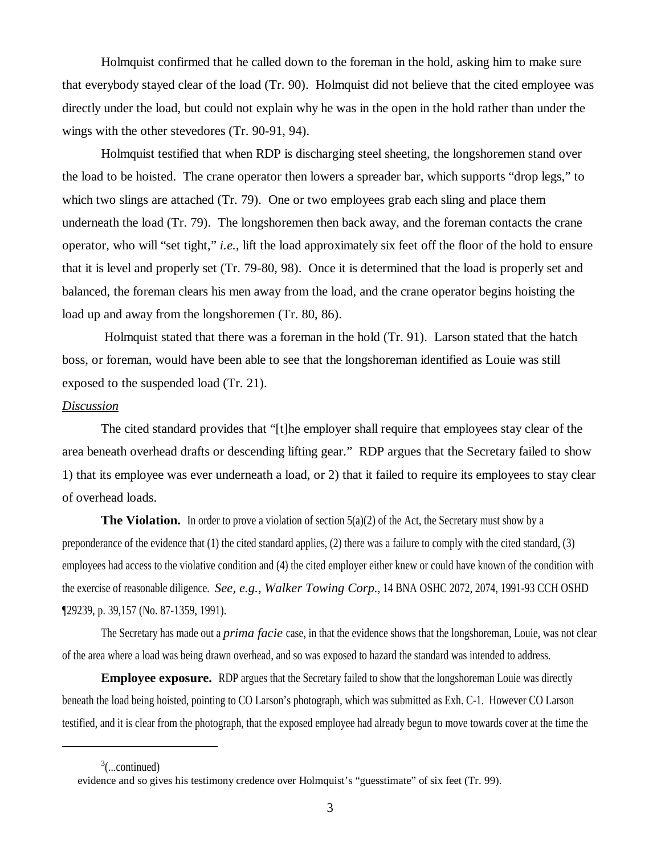Holmquist confirmed that he called down to the foreman in the hold, asking him to make sure that everybody stayed clear of the load (Tr. 90). Holmquist did not believe that the cited employee was directly under the load, but could not explain why he was in the open in the hold rather than under the wings with the other stevedores (Tr. 90-91, 94).

Holmquist testified that when RDP is discharging steel sheeting, the longshoremen stand over the load to be hoisted. The crane operator then lowers a spreader bar, which supports "drop legs," to which two slings are attached (Tr. 79). One or two employees grab each sling and place them underneath the load (Tr. 79). The longshoremen then back away, and the foreman contacts the crane operator, who will "set tight," *i.e.,* lift the load approximately six feet off the floor of the hold to ensure that it is level and properly set (Tr. 79-80, 98). Once it is determined that the load is properly set and balanced, the foreman clears his men away from the load, and the crane operator begins hoisting the load up and away from the longshoremen (Tr. 80, 86).

 Holmquist stated that there was a foreman in the hold (Tr. 91). Larson stated that the hatch boss, or foreman, would have been able to see that the longshoreman identified as Louie was still exposed to the suspended load (Tr. 21).

### *Discussion*

The cited standard provides that "[t]he employer shall require that employees stay clear of the area beneath overhead drafts or descending lifting gear." RDP argues that the Secretary failed to show 1) that its employee was ever underneath a load, or 2) that it failed to require its employees to stay clear of overhead loads.

**The Violation.** In order to prove a violation of section 5(a)(2) of the Act, the Secretary must show by a preponderance of the evidence that (1) the cited standard applies, (2) there was a failure to comply with the cited standard, (3) employees had access to the violative condition and (4) the cited employer either knew or could have known of the condition with the exercise of reasonable diligence. *See, e.g., Walker Towing Corp.*, 14 BNA OSHC 2072, 2074, 1991-93 CCH OSHD ¶29239, p. 39,157 (No. 87-1359, 1991).

The Secretary has made out a *prima facie* case, in that the evidence shows that the longshoreman, Louie, was not clear of the area where a load was being drawn overhead, and so was exposed to hazard the standard was intended to address.

**Employee exposure.** RDP argues that the Secretary failed to show that the longshoreman Louie was directly beneath the load being hoisted, pointing to CO Larson's photograph, which was submitted as Exh. C-1. However CO Larson testified, and it is clear from the photograph, that the exposed employee had already begun to move towards cover at the time the

 $3$ (...continued)

evidence and so gives his testimony credence over Holmquist's "guesstimate" of six feet (Tr. 99).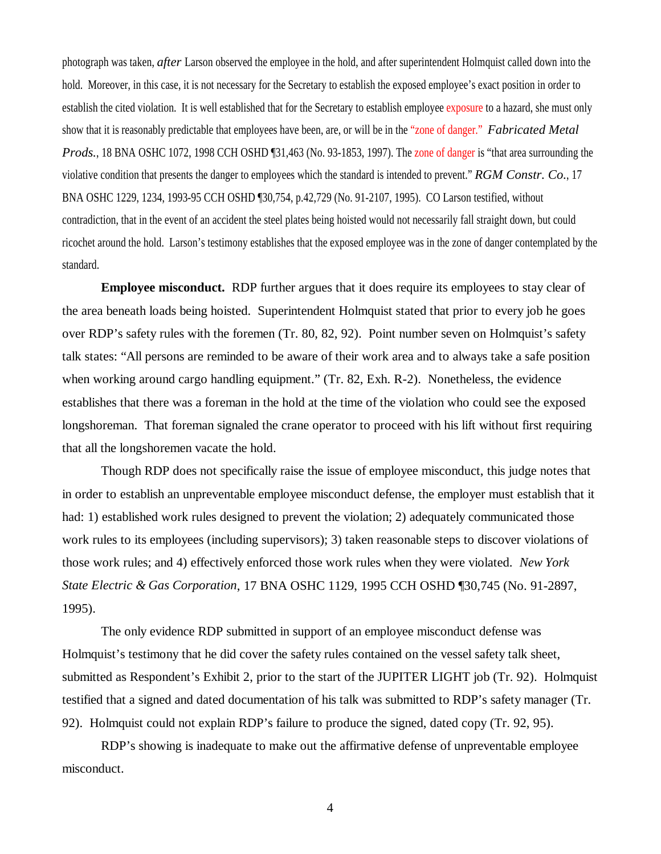photograph was taken, *after* Larson observed the employee in the hold, and after superintendent Holmquist called down into the hold. Moreover, in this case, it is not necessary for the Secretary to establish the exposed employee's exact position in order to establish the cited violation. It is well established that for the Secretary to establish employee exposure to a hazard, she must only show that it is reasonably predictable that employees have been, are, or will be in the "zone of danger." *Fabricated Metal Prods.*, 18 BNA OSHC 1072, 1998 CCH OSHD [31,463 (No. 93-1853, 1997). The zone of danger is "that area surrounding the violative condition that presents the danger to employees which the standard is intended to prevent." *RGM Constr. Co.*, 17 BNA OSHC 1229, 1234, 1993-95 CCH OSHD ¶30,754, p.42,729 (No. 91-2107, 1995). CO Larson testified, without contradiction, that in the event of an accident the steel plates being hoisted would not necessarily fall straight down, but could ricochet around the hold. Larson's testimony establishes that the exposed employee was in the zone of danger contemplated by the standard.

**Employee misconduct.** RDP further argues that it does require its employees to stay clear of the area beneath loads being hoisted. Superintendent Holmquist stated that prior to every job he goes over RDP's safety rules with the foremen (Tr. 80, 82, 92). Point number seven on Holmquist's safety talk states: "All persons are reminded to be aware of their work area and to always take a safe position when working around cargo handling equipment." (Tr. 82, Exh. R-2). Nonetheless, the evidence establishes that there was a foreman in the hold at the time of the violation who could see the exposed longshoreman. That foreman signaled the crane operator to proceed with his lift without first requiring that all the longshoremen vacate the hold.

Though RDP does not specifically raise the issue of employee misconduct, this judge notes that in order to establish an unpreventable employee misconduct defense, the employer must establish that it had: 1) established work rules designed to prevent the violation; 2) adequately communicated those work rules to its employees (including supervisors); 3) taken reasonable steps to discover violations of those work rules; and 4) effectively enforced those work rules when they were violated. *New York State Electric & Gas Corporation*, 17 BNA OSHC 1129, 1995 CCH OSHD ¶30,745 (No. 91-2897, 1995).

The only evidence RDP submitted in support of an employee misconduct defense was Holmquist's testimony that he did cover the safety rules contained on the vessel safety talk sheet, submitted as Respondent's Exhibit 2, prior to the start of the JUPITER LIGHT job (Tr. 92). Holmquist testified that a signed and dated documentation of his talk was submitted to RDP's safety manager (Tr. 92). Holmquist could not explain RDP's failure to produce the signed, dated copy (Tr. 92, 95).

RDP's showing is inadequate to make out the affirmative defense of unpreventable employee misconduct.

4